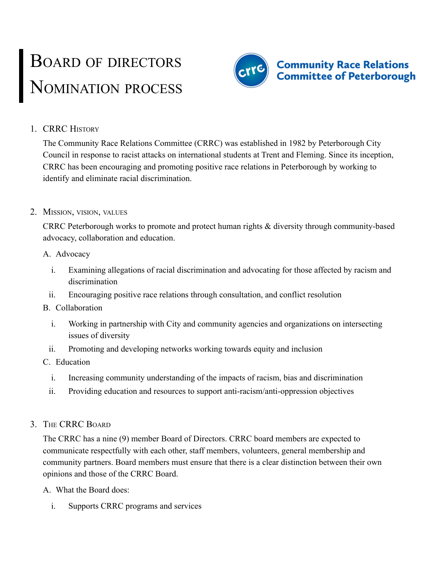# BOARD OF DIRECTORS NOMINATION PROCESS



## 1. CRRC HISTORY

The Community Race Relations Committee (CRRC) was established in 1982 by Peterborough City Council in response to racist attacks on international students at Trent and Fleming. Since its inception, CRRC has been encouraging and promoting positive race relations in Peterborough by working to identify and eliminate racial discrimination.

#### 2. MISSION, VISION, VALUES

CRRC Peterborough works to promote and protect human rights & diversity through community-based advocacy, collaboration and education.

#### A. Advocacy

- i. Examining allegations of racial discrimination and advocating for those affected by racism and discrimination
- ii. Encouraging positive race relations through consultation, and conflict resolution

#### B. Collaboration

- i. Working in partnership with City and community agencies and organizations on intersecting issues of diversity
- ii. Promoting and developing networks working towards equity and inclusion
- C. Education
	- i. Increasing community understanding of the impacts of racism, bias and discrimination
	- ii. Providing education and resources to support anti-racism/anti-oppression objectives

# 3. THE CRRC BOARD

The CRRC has a nine (9) member Board of Directors. CRRC board members are expected to communicate respectfully with each other, staff members, volunteers, general membership and community partners. Board members must ensure that there is a clear distinction between their own opinions and those of the CRRC Board.

A. What the Board does:

i. Supports CRRC programs and services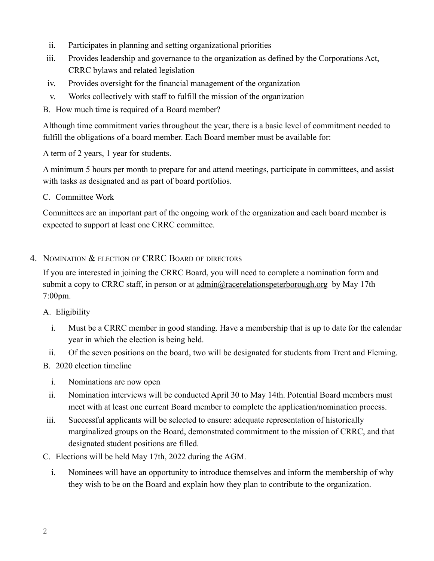- ii. Participates in planning and setting organizational priorities
- iii. Provides leadership and governance to the organization as defined by the Corporations Act, CRRC bylaws and related legislation
- iv. Provides oversight for the financial management of the organization
- v. Works collectively with staff to fulfill the mission of the organization

B. How much time is required of a Board member?

Although time commitment varies throughout the year, there is a basic level of commitment needed to fulfill the obligations of a board member. Each Board member must be available for:

A term of 2 years, 1 year for students.

A minimum 5 hours per month to prepare for and attend meetings, participate in committees, and assist with tasks as designated and as part of board portfolios.

C. Committee Work

Committees are an important part of the ongoing work of the organization and each board member is expected to support at least one CRRC committee.

### 4. NOMINATION & ELECTION OF CRRC BOARD OF DIRECTORS

If you are interested in joining the CRRC Board, you will need to complete a nomination form and submit a copy to CRRC staff, in person or at  $\underline{admin}(\widehat{\omega}$  racerelationspeterborough.org by May 17th 7:00pm.

#### A. Eligibility

- i. Must be a CRRC member in good standing. Have a membership that is up to date for the calendar year in which the election is being held.
- ii. Of the seven positions on the board, two will be designated for students from Trent and Fleming.

# B. 2020 election timeline

- i. Nominations are now open
- ii. Nomination interviews will be conducted April 30 to May 14th. Potential Board members must meet with at least one current Board member to complete the application/nomination process.
- iii. Successful applicants will be selected to ensure: adequate representation of historically marginalized groups on the Board, demonstrated commitment to the mission of CRRC, and that designated student positions are filled.
- C. Elections will be held May 17th, 2022 during the AGM.
	- i. Nominees will have an opportunity to introduce themselves and inform the membership of why they wish to be on the Board and explain how they plan to contribute to the organization.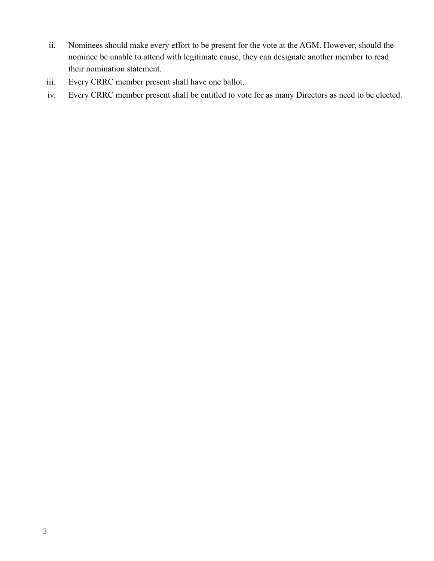- ii. Nominees should make every effort to be present for the vote at the AGM. However, should the nominee be unable to attend with legitimate cause, they can designate another member to read their nomination statement.
- iii. Every CRRC member present shall have one ballot.
- iv. Every CRRC member present shall be entitled to vote for as many Directors as need to be elected.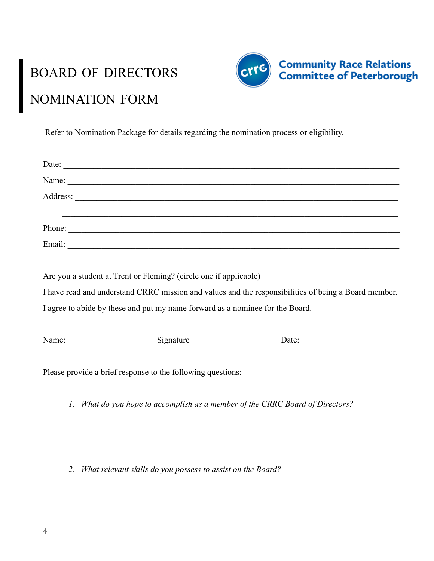# BOARD OF DIRECTORS NOMINATION FORM



Refer to Nomination Package for details regarding the nomination process or eligibility.

|                                                                                                      | Date:                                                          |                                                          |
|------------------------------------------------------------------------------------------------------|----------------------------------------------------------------|----------------------------------------------------------|
|                                                                                                      |                                                                |                                                          |
|                                                                                                      |                                                                |                                                          |
|                                                                                                      | <u> 1989 - Andrea Barbara, Amerikaansk politiker (d. 1989)</u> |                                                          |
|                                                                                                      | Phone:                                                         |                                                          |
|                                                                                                      |                                                                |                                                          |
|                                                                                                      |                                                                |                                                          |
| Are you a student at Trent or Fleming? (circle one if applicable)                                    |                                                                |                                                          |
| I have read and understand CRRC mission and values and the responsibilities of being a Board member. |                                                                |                                                          |
| I agree to abide by these and put my name forward as a nominee for the Board.                        |                                                                |                                                          |
|                                                                                                      |                                                                |                                                          |
|                                                                                                      | Name: Signature                                                | Date: $\frac{1}{\sqrt{1-\frac{1}{2}} \cdot \frac{1}{2}}$ |
|                                                                                                      |                                                                |                                                          |

Please provide a brief response to the following questions:

*1. What do you hope to accomplish as a member of the CRRC Board of Directors?*

*2. What relevant skills do you possess to assist on the Board?*